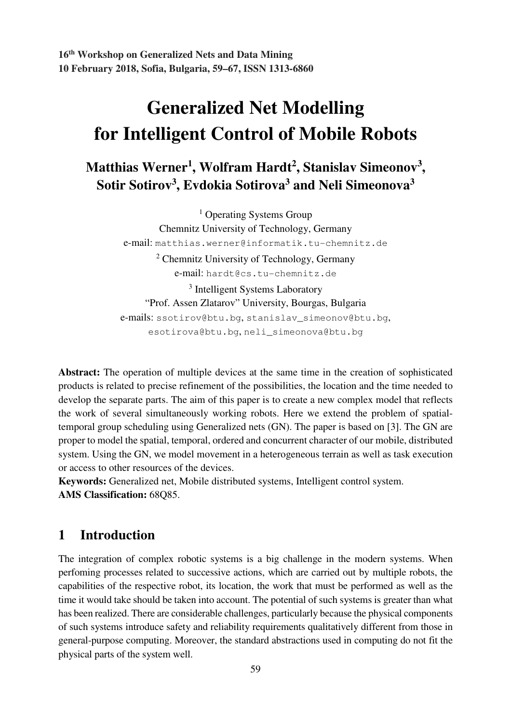**16th Workshop on Generalized Nets and Data Mining 10 February 2018, Sofia, Bulgaria, 59–67, ISSN 1313-6860** 

# **Generalized Net Modelling for Intelligent Control of Mobile Robots**

## **Matthias Werner<sup>1</sup> , Wolfram Hardt<sup>2</sup> , Stanislav Simeonov<sup>3</sup> , Sotir Sotirov<sup>3</sup> , Evdokia Sotirova<sup>3</sup> and Neli Simeonova<sup>3</sup>**

<sup>1</sup> Operating Systems Group Chemnitz University of Technology, Germany e-mail: matthias.werner@informatik.tu-chemnitz.de <sup>2</sup> Chemnitz University of Technology, Germany e-mail: hardt@cs.tu-chemnitz.de <sup>3</sup> Intelligent Systems Laboratory "Prof. Assen Zlatarov" University, Bourgas, Bulgaria e-mails: ssotirov@btu.bg, stanislav\_simeonov@btu.bg, esotirova@btu.bg, neli\_simeonova@btu.bg

**Abstract:** The operation of multiple devices at the same time in the creation of sophisticated products is related to precise refinement of the possibilities, the location and the time needed to develop the separate parts. The aim of this paper is to create a new complex model that reflects the work of several simultaneously working robots. Here we extend the problem of spatialtemporal group scheduling using Generalized nets (GN). The paper is based on [3]. The GN are proper to model the spatial, temporal, ordered and concurrent character of our mobile, distributed system. Using the GN, we model movement in a heterogeneous terrain as well as task execution or access to other resources of the devices.

**Keywords:** Generalized net, Mobile distributed systems, Intelligent control system. **AMS Classification:** 68Q85.

### **1 Introduction**

The integration of complex robotic systems is a big challenge in the modern systems. When perfoming processes related to successive actions, which are carried out by multiple robots, the capabilities of the respective robot, its location, the work that must be performed as well as the time it would take should be taken into account. The potential of such systems is greater than what has been realized. There are considerable challenges, particularly because the physical components of such systems introduce safety and reliability requirements qualitatively different from those in general-purpose computing. Moreover, the standard abstractions used in computing do not fit the physical parts of the system well.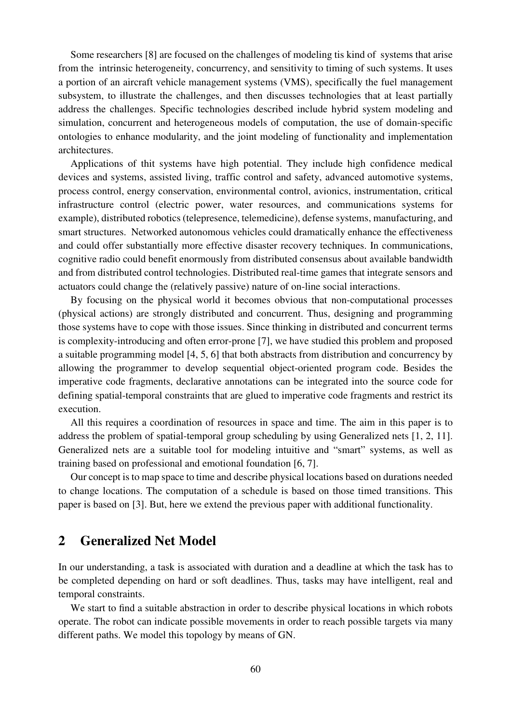Some researchers [8] are focused on the challenges of modeling tis kind of systems that arise from the intrinsic heterogeneity, concurrency, and sensitivity to timing of such systems. It uses a portion of an aircraft vehicle management systems (VMS), specifically the fuel management subsystem, to illustrate the challenges, and then discusses technologies that at least partially address the challenges. Specific technologies described include hybrid system modeling and simulation, concurrent and heterogeneous models of computation, the use of domain-specific ontologies to enhance modularity, and the joint modeling of functionality and implementation architectures.

Applications of thit systems have high potential. They include high confidence medical devices and systems, assisted living, traffic control and safety, advanced automotive systems, process control, energy conservation, environmental control, avionics, instrumentation, critical infrastructure control (electric power, water resources, and communications systems for example), distributed robotics (telepresence, telemedicine), defense systems, manufacturing, and smart structures. Networked autonomous vehicles could dramatically enhance the effectiveness and could offer substantially more effective disaster recovery techniques. In communications, cognitive radio could benefit enormously from distributed consensus about available bandwidth and from distributed control technologies. Distributed real-time games that integrate sensors and actuators could change the (relatively passive) nature of on-line social interactions.

By focusing on the physical world it becomes obvious that non-computational processes (physical actions) are strongly distributed and concurrent. Thus, designing and programming those systems have to cope with those issues. Since thinking in distributed and concurrent terms is complexity-introducing and often error-prone [7], we have studied this problem and proposed a suitable programming model [4, 5, 6] that both abstracts from distribution and concurrency by allowing the programmer to develop sequential object-oriented program code. Besides the imperative code fragments, declarative annotations can be integrated into the source code for defining spatial-temporal constraints that are glued to imperative code fragments and restrict its execution.

All this requires a coordination of resources in space and time. The aim in this paper is to address the problem of spatial-temporal group scheduling by using Generalized nets [1, 2, 11]. Generalized nets are a suitable tool for modeling intuitive and "smart" systems, as well as training based on professional and emotional foundation [6, 7].

Our concept is to map space to time and describe physical locations based on durations needed to change locations. The computation of a schedule is based on those timed transitions. This paper is based on [3]. But, here we extend the previous paper with additional functionality.

#### **2 Generalized Net Model**

In our understanding, a task is associated with duration and a deadline at which the task has to be completed depending on hard or soft deadlines. Thus, tasks may have intelligent, real and temporal constraints.

We start to find a suitable abstraction in order to describe physical locations in which robots operate. The robot can indicate possible movements in order to reach possible targets via many different paths. We model this topology by means of GN.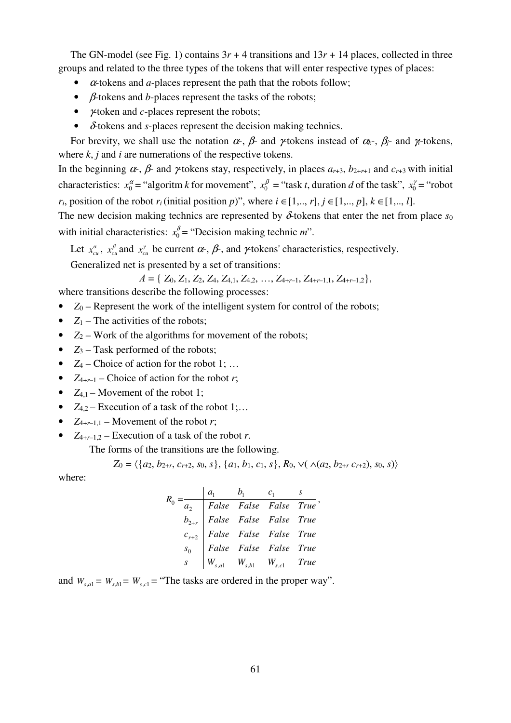The GN-model (see Fig. 1) contains  $3r + 4$  transitions and  $13r + 14$  places, collected in three groups and related to the three types of the tokens that will enter respective types of places:

- <sup>α</sup>-tokens and *a*-places represent the path that the robots follow;
- β*-*tokens and *b*-places represent the tasks of the robots;
- γ-token and *c*-places represent the robots;
- δ-tokens and *s*-places represent the decision making technics.

For brevity, we shall use the notation  $\alpha$ -,  $\beta$ - and  $\gamma$ -tokens instead of  $\alpha$ <sub>k</sub>-,  $\beta$ <sub>j</sub>- and  $\gamma$ -tokens, where *k*, *j* and *i* are numerations of the respective tokens.

In the beginning  $\alpha$ -,  $\beta$ - and  $\gamma$ -tokens stay, respectively, in places  $a_{r+3}$ ,  $b_{2+r+1}$  and  $c_{r+3}$  with initial characteristics:  $x_0^{\alpha} =$  "algoritm *k* for movement",  $x_0^{\beta} =$  "task *t*, duration *d* of the task",  $x_0^{\gamma} =$  "robot" *r*<sub>*i*</sub>, position of the robot *r<sub>i</sub>* (initial position *p*)", where  $i \in [1, ..., r]$ ,  $j \in [1, ..., p]$ ,  $k \in [1, ..., l]$ .

The new decision making technics are represented by  $\delta$  tokens that enter the net from place  $s_0$ with initial characteristics:  $x_0^{\delta}$  = "Decision making technic *m*".

Let  $x_{cu}^{\alpha}$ ,  $x_{cu}^{\beta}$  and  $x_{cu}^{\gamma}$  be current  $\alpha$ ,  $\beta$ , and  $\gamma$  tokens' characteristics, respectively.

Generalized net is presented by a set of transitions:

А = { *Z*0, *Z*1, *Z*2, *Z*4, *Z*4,1, *Z*4,2, …, *Z*4+*r*–1, *Z*4+*r*–1,1, *Z*4+*r*–1,2},

where transitions describe the following processes:

- $Z_0$  Represent the work of the intelligent system for control of the robots;
- $Z_1$  The activities of the robots;
- $Z_2$  Work of the algorithms for movement of the robots;
- $Z_3$  Task performed of the robots;
- $Z_4$  Choice of action for the robot 1; ...
- $Z_{4+r-1}$  Choice of action for the robot *r*;
- $Z_{4,1}$  Movement of the robot 1;
- $Z_{4,2}$  Execution of a task of the robot 1;...
- $Z_{4+r-1,1}$  Movement of the robot *r*;
- $Z_{4+r-1,2}$  Execution of a task of the robot *r*.

The forms of the transitions are the following.

$$
Z_0 = \langle \{a_2, b_{2+r}, c_{r+2}, s_0, s\}, \{a_1, b_1, c_1, s\}, R_0, \vee (\wedge (a_2, b_{2+r}, c_{r+2}), s_0, s) \rangle
$$

where:

$$
R_0 = \frac{a_1}{a_2} \quad \begin{array}{|l|l|} \hline a_1 & b_1 & c_1 & s \\ \hline \hline a_2 & False & False & False & True \\ b_{2+r} & False & False & False & True \\ c_{r+2} & False & False & False & True \\ s_0 & False & False & False & True \\ s & \mid W_{s,a1} & W_{s,b1} & W_{s,c1} & True \end{array}
$$

and  $W_{s,a} = W_{s,b} = W_{s,c} =$  "The tasks are ordered in the proper way".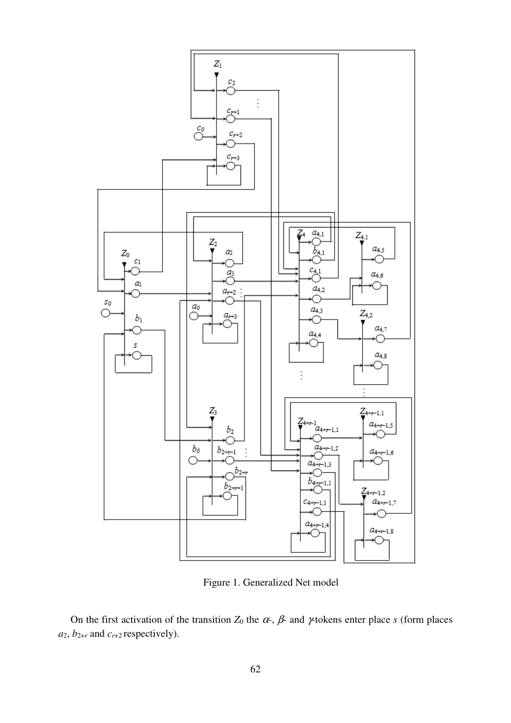

Figure 1. Generalized Net model

On the first activation of the transition  $Z_0$  the  $\alpha$ ,  $\beta$  and  $\gamma$  tokens enter place *s* (form places  $a_2$ ,  $b_{2+r}$  and  $c_{r+2}$  respectively).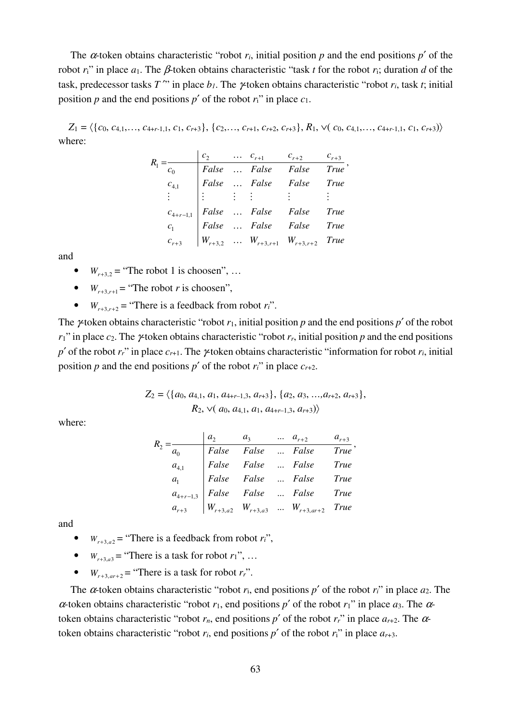The  $\alpha$ -token obtains characteristic "robot  $r_i$ , initial position  $p$  and the end positions  $p'$  of the robot  $r_i$ <sup>"</sup> in place  $a_1$ . The  $\beta$ -token obtains characteristic "task *t* for the robot  $r_i$ ; duration *d* of the task, predecessor tasks *T* <sup>""</sup> in place  $b<sub>l</sub>$ . The  $\gamma$ -token obtains characteristic "robot  $r<sub>i</sub>$ , task *t*; initial position *p* and the end positions *p'* of the robot  $r_i$ <sup>"</sup> in place  $c_1$ .

 $Z_1 = \langle \{c_0, c_{4,1}, \ldots, c_{4+r-1,1}, c_1, c_{r+3}\}, \{c_2, \ldots, c_{r+1}, c_{r+2}, c_{r+3}\}, R_1, \vee (c_0, c_{4,1}, \ldots, c_{4+r-1,1}, c_1, c_{r+3})\rangle$ where:

|                 | c <sub>2</sub> | $\cdots$ $c_{r+1}$ $c_{r+2}$                               |                                                                                                                                                                                                           | $c_{r+3}$   |
|-----------------|----------------|------------------------------------------------------------|-----------------------------------------------------------------------------------------------------------------------------------------------------------------------------------------------------------|-------------|
|                 |                |                                                            |                                                                                                                                                                                                           | <b>True</b> |
| $c_{4,1}$       |                |                                                            |                                                                                                                                                                                                           | True        |
| $\frac{1}{2}$ . |                | False  False False<br>False  False False<br>: : : : :<br>: |                                                                                                                                                                                                           |             |
|                 |                |                                                            | $c_{4+r-1,1}$ $\begin{array}{ l l }\n c_{4+r-1,1} & False &  & False & False & True \\  c_1 & False &  & False & False & True \\  c_{r+3} & W_{r+3,2} &  & W_{r+3,r+1} & W_{r+3,r+2} & True\n\end{array}$ |             |
|                 |                |                                                            |                                                                                                                                                                                                           |             |
|                 |                |                                                            |                                                                                                                                                                                                           |             |

and

- $W_{r+3,2}$  = "The robot 1 is choosen", ...
- $W_{r+3} =$  "The robot *r* is choosen",
- $W_{r+3,r+2} =$  "There is a feedback from robot  $r_i$ ".

The  $\gamma$ -token obtains characteristic "robot  $r_1$ , initial position  $p$  and the end positions  $p'$  of the robot  $r_1$ " in place  $c_2$ . The  $\gamma$ -token obtains characteristic "robot  $r_r$ , initial position  $p$  and the end positions *p*<sup> $\prime$ </sup> of the robot  $r_r$ <sup>"</sup> in place  $c_{r+1}$ . The  $\gamma$ -token obtains characteristic "information for robot  $r_i$ , initial position *p* and the end positions *p*<sup> $\prime$ </sup> of the robot *r<sub>i</sub>*" in place  $c_{r+2}$ .

$$
Z_2 = \langle \{a_0, a_{4,1}, a_1, a_{4+r-1,3}, a_{r+3}\}, \{a_2, a_3, ..., a_{r+2}, a_{r+3}\},
$$
  

$$
R_2, \vee (a_0, a_{4,1}, a_1, a_{4+r-1,3}, a_{r+3})\rangle
$$

where:

|  | $a_2$ | $a_3$ | $\dots$ $a_{r+2}$                                                                                                                                                                                                                                                                            | $a_{r+3}$ |
|--|-------|-------|----------------------------------------------------------------------------------------------------------------------------------------------------------------------------------------------------------------------------------------------------------------------------------------------|-----------|
|  |       |       |                                                                                                                                                                                                                                                                                              |           |
|  |       |       |                                                                                                                                                                                                                                                                                              |           |
|  |       |       |                                                                                                                                                                                                                                                                                              |           |
|  |       |       |                                                                                                                                                                                                                                                                                              |           |
|  |       |       | $\begin{array}{c cccc} \hline a_0 & False & False &  & False & True \\ \hline a_{4,1} & False & False &  & False & True \\ a_1 & False & False &  & False & True \\ a_{4+r-1,3} & False & False &  & False & True \\ a_{r+3} & W_{r+3,a2} & W_{r+3,a3} &  & W_{r+3,ar+2} & True \end{array}$ |           |

and

•  $W_{r+3,a2}$  = "There is a feedback from robot  $r_i$ ",

- $W_{r+3/3}$  = "There is a task for robot  $r_1$ ", ...
- $W_{r+3,qr+2}$  = "There is a task for robot  $r_r$ ".

The  $\alpha$ -token obtains characteristic "robot  $r_i$ , end positions  $p'$  of the robot  $r_i$ " in place  $a_2$ . The <sup>α</sup>-token obtains characteristic "robot *r*1, end positions *p*′ of the robot *r*1" in place *a*3. The αtoken obtains characteristic "robot  $r_n$ , end positions  $p'$  of the robot  $r_r$ " in place  $a_{r+2}$ . The  $\alpha$ token obtains characteristic "robot  $r_i$ , end positions  $p'$  of the robot  $r_i$ " in place  $a_{r+3}$ .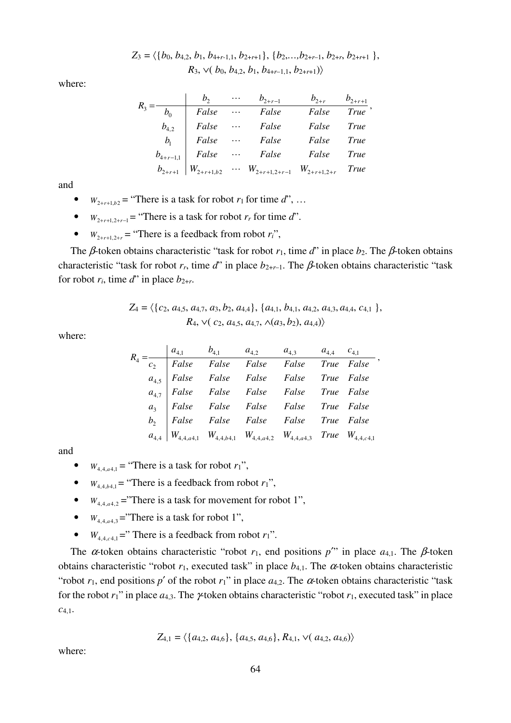$Z_3 = \langle \{b_0, b_{4,2}, b_1, b_{4+r-1,1}, b_{2+r+1}\}, \{b_2, \ldots, b_{2+r-1}, b_{2+r}, b_{2+r+1}\}\right],$  $R_3$ ,  $\vee$ (*b*<sub>0</sub>, *b*<sub>4</sub>,2, *b*<sub>1</sub>, *b*<sub>4+*r*–1,1</sub>, *b*<sub>2+*r*+1</sub>)

where:

|                | b <sub>2</sub> | $\cdots$ | $b_{2+r-1}$                                | $b_{2+r}$ | $b_{2+r+1}$ |
|----------------|----------------|----------|--------------------------------------------|-----------|-------------|
| $b_{0}$        | False          | $\cdots$ | False                                      | False     | <b>True</b> |
| $b_{4,2}$      | False          | $\ddots$ | False                                      | False     | <b>True</b> |
| b <sub>1</sub> | False          | $\ldots$ | False                                      | False     | True        |
| $b_{4+r-1,1}$  | False          | $\ldots$ | False                                      | False     | True        |
| $b_{2+r+1}$    | $W_{2+r+1,b2}$ |          | $\cdots$ $W_{2+r+1,2+r-1}$ $W_{2+r+1,2+r}$ |           | <i>True</i> |

and

- $W_{2+r+1,b2}$  = "There is a task for robot  $r_1$  for time  $d$ ", ...
- *W*<sub>2+*r*+1 2+*r*-1</sub> = "There is a task for robot *r<sub>r</sub>* for time *d*".
- $W_{2+r+1,2+r}$  = "There is a feedback from robot  $r_i$ ",

The β-token obtains characteristic "task for robot  $r_1$ , time  $d$ " in place  $b_2$ . The β-token obtains characteristic "task for robot  $r_r$ , time  $d$ " in place  $b_{2+r-1}$ . The  $\beta$ -token obtains characteristic "task for robot  $r_i$ , time  $d^r$  in place  $b_{2+r}$ .

$$
Z_4 = \langle \{c_2, a_{4,5}, a_{4,7}, a_3, b_2, a_{4,4}\}, \{a_{4,1}, b_{4,1}, a_{4,2}, a_{4,3}, a_{4,4}, c_{4,1}\}, R_4, \vee (c_2, a_{4,5}, a_{4,7}, \wedge (a_3, b_2), a_{4,4})\rangle
$$

where:

|  |  | $R_4 = \begin{array}{ c cccc } \hline a_{4,1} & b_{4,1} & a_{4,2} & a_{4,3} & a_{4,4} & c_{4,1} \\ \hline c_2 & False & False & False & False & False & True & False \\ a_{4,5} & False & False & False & False & True & False \\ a_{4,7} & False & False & False & False & True & False \\ a_3 & False & False & False & False & True & False \\ b_2 & False & False & False & False & True & False \\ b_4 & False & False & False & False & True & False \\ a_{4,4} & W_{4,4,d4,1} & W_{4,4,d4,1} & W_{4,4,d4,2} & W_{4,4,d4,3} & True &$ |  |  |
|--|--|---------------------------------------------------------------------------------------------------------------------------------------------------------------------------------------------------------------------------------------------------------------------------------------------------------------------------------------------------------------------------------------------------------------------------------------------------------------------------------------------------------------------------------------------|--|--|
|  |  |                                                                                                                                                                                                                                                                                                                                                                                                                                                                                                                                             |  |  |
|  |  |                                                                                                                                                                                                                                                                                                                                                                                                                                                                                                                                             |  |  |
|  |  |                                                                                                                                                                                                                                                                                                                                                                                                                                                                                                                                             |  |  |
|  |  |                                                                                                                                                                                                                                                                                                                                                                                                                                                                                                                                             |  |  |
|  |  |                                                                                                                                                                                                                                                                                                                                                                                                                                                                                                                                             |  |  |
|  |  |                                                                                                                                                                                                                                                                                                                                                                                                                                                                                                                                             |  |  |

and

•  $W_{4,4,4,4,1}$  = "There is a task for robot  $r_1$ ",

- $W_{4,4,64,1}$  = "There is a feedback from robot  $r_1$ ",
- $W_{4,4,a4,2}$  = "There is a task for movement for robot 1",
- $W_{4,4,4,4,3}$  = "There is a task for robot 1",
- $W_{4,4,6,1}$  =" There is a feedback from robot  $r_1$ ".

The  $\alpha$ -token obtains characteristic "robot  $r_1$ , end positions  $p''$  in place  $a_{4,1}$ . The  $\beta$ -token obtains characteristic "robot  $r_1$ , executed task" in place  $b_{4,1}$ . The  $\alpha$ -token obtains characteristic "robot  $r_1$ , end positions  $p'$  of the robot  $r_1$ " in place  $a_{4,2}$ . The  $\alpha$ -token obtains characteristic "task" for the robot *r*1" in place *a*4,3. The γ-token obtains characteristic "robot *r*1, executed task" in place *c*4,1.

$$
Z_{4,1} = \langle \{a_{4,2}, a_{4,6}\}, \{a_{4,5}, a_{4,6}\}, R_{4,1}, \vee(a_{4,2}, a_{4,6})\rangle
$$

where: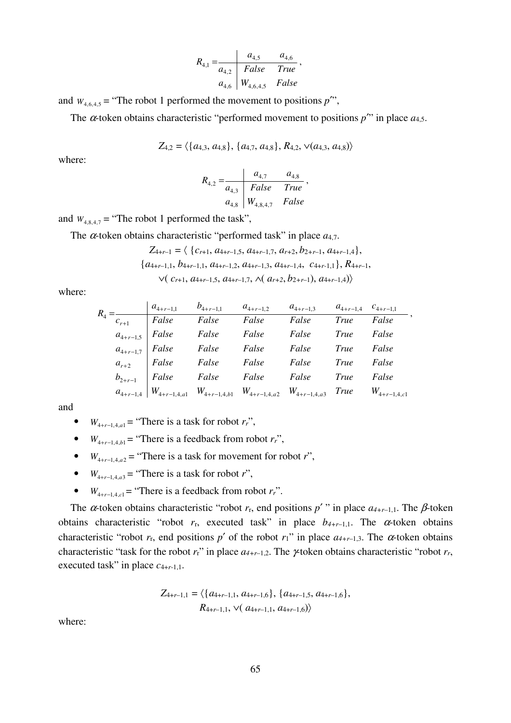$$
R_{4,1} = \n\begin{array}{c|cc}\n & a_{4,5} & a_{4,6} \\
\hline\na_{4,2} & False & True \\
a_{4,6} & W_{4,6,4,5} & False\n\end{array}
$$

and  $W_{4,6,4,5}$  = "The robot 1 performed the movement to positions *p*<sup>""</sup>,

The  $\alpha$ -token obtains characteristic "performed movement to positions  $p$ <sup>"</sup> in place  $a_{4,5}$ .

$$
Z_{4,2} = \langle \{a_{4,3}, a_{4,8}\}, \{a_{4,7}, a_{4,8}\}, R_{4,2}, \vee (a_{4,3}, a_{4,8})\rangle
$$

where:

$$
R_{4,2} = \frac{a_{4,7}}{a_{4,3}} = \frac{a_{4,7}}{False} = \frac{a_{4,8}}{True}
$$
  

$$
a_{4,8} = \frac{a_{4,8}}{wa_{4,8,4,7}} = False
$$

,

and  $W_{4,8,4,7}$  = "The robot 1 performed the task",

The  $\alpha$ -token obtains characteristic "performed task" in place  $a_{4,7}$ .

$$
Z_{4+r-1} = \langle \{c_{r+1}, a_{4+r-1,5}, a_{4+r-1,7}, a_{r+2}, b_{2+r-1}, a_{4+r-1,4} \},\
$$

$$
\{a_{4+r-1,1}, b_{4+r-1,1}, a_{4+r-1,2}, a_{4+r-1,3}, a_{4+r-1,4}, c_{4+r-1,1} \}, R_{4+r-1},\
$$

$$
\vee (c_{r+1}, a_{4+r-1,5}, a_{4+r-1,7}, \wedge (a_{r+2}, b_{2+r-1}), a_{4+r-1,4}) \rangle
$$

where:

| $R_4 =$ |  | $a_{4+r-1,1}$ $b_{4+r-1,1}$ $a_{4+r-1,2}$ $a_{4+r-1,3}$ $a_{4+r-1,4}$ $c_{4+r-1,1}$                       |            |       |
|---------|--|-----------------------------------------------------------------------------------------------------------|------------|-------|
|         |  | $=\frac{1}{c_{r+1}}$ False False False False True False                                                   |            |       |
|         |  | $a_{4+r-1,5}$   False False False False                                                                   | True False |       |
|         |  | $a_{4+r-1,7}$ False False False False True                                                                |            | False |
|         |  | $a_{r+2}$ False False False False True                                                                    |            | False |
|         |  | $b_{2+r-1}$ False False False False True                                                                  |            | False |
|         |  | $a_{4+r-1,4}$   $W_{4+r-1,4,a1}$ $W_{4+r-1,4,b1}$ $W_{4+r-1,4,a2}$ $W_{4+r-1,4,a3}$ True $W_{4+r-1,4,c1}$ |            |       |

and

- *W*<sub>4+*r*-1,4,*a*] = "There is a task for robot *r<sub>r</sub>*",</sub>
- $W_{4+r-1,4,b}$  = "There is a feedback from robot  $r_r$ ",
- $W_{4+r-1,4,q2}$  = "There is a task for movement for robot *r*",
- $W_{4+r-1,4,a3}$  = "There is a task for robot *r*",
- *W*<sub>4+*r*-1,4,c1</sub> = "There is a feedback from robot  $r_r$ ".

The  $\alpha$ -token obtains characteristic "robot  $r_r$ , end positions  $p'$ " in place  $a_{4+r-1,1}$ . The  $\beta$ -token obtains characteristic "robot  $r_r$ , executed task" in place  $b_{4+r-1,1}$ . The  $\alpha$ -token obtains characteristic "robot  $r_r$ , end positions  $p'$  of the robot  $r_1$ " in place  $a_{4+r-1,3}$ . The  $\alpha$ -token obtains characteristic "task for the robot  $r_r$ " in place  $a_{4+r-1,2}$ . The  $\gamma$ -token obtains characteristic "robot  $r_r$ , executed task" in place *c*4+*r*-1,1.

$$
Z_{4+r-1,1} = \langle \{a_{4+r-1,1}, a_{4+r-1,6}\}, \{a_{4+r-1,5}, a_{4+r-1,6}\},
$$
  

$$
R_{4+r-1,1}, \vee (a_{4+r-1,1}, a_{4+r-1,6})\rangle
$$

where: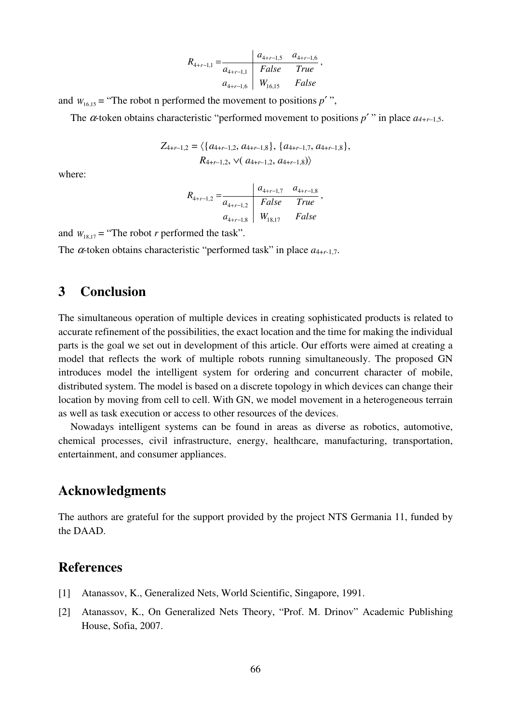$$
R_{4+r-1,1} = \frac{a_{4+r-1,5} \quad a_{4+r-1,6}}{a_{4+r-1,1}} \left\{ \begin{array}{cc} Ralse & True \\ N_{16,15} & False \end{array} \right\},
$$

and  $W_{16,15}$  = "The robot n performed the movement to positions  $p'$ ",

The  $\alpha$ -token obtains characteristic "performed movement to positions  $p'$ " in place  $a_{4+r-1,5}$ .

$$
Z_{4+r-1,2} = \langle \{a_{4+r-1,2}, a_{4+r-1,8}\}, \{a_{4+r-1,7}, a_{4+r-1,8}\},
$$
  

$$
R_{4+r-1,2}, \vee (a_{4+r-1,2}, a_{4+r-1,8})\rangle
$$

where:

$$
R_{4+r-1,2} = \frac{a_{4+r-1,7} \quad a_{4+r-1,8}}{a_{4+r-1,2}} \frac{F_{44+r-1,7} \quad a_{4+r-1,8}}{F_{44+r-1,8}} \,,
$$

and  $W_{18,17}$  = "The robot *r* performed the task".

The  $\alpha$ -token obtains characteristic "performed task" in place  $a_{4+r-1,7}$ .

#### **3 Conclusion**

The simultaneous operation of multiple devices in creating sophisticated products is related to accurate refinement of the possibilities, the exact location and the time for making the individual parts is the goal we set out in development of this article. Our efforts were aimed at creating a model that reflects the work of multiple robots running simultaneously. The proposed GN introduces model the intelligent system for ordering and concurrent character of mobile, distributed system. The model is based on a discrete topology in which devices can change their location by moving from cell to cell. With GN, we model movement in a heterogeneous terrain as well as task execution or access to other resources of the devices.

Nowadays intelligent systems can be found in areas as diverse as robotics, automotive, chemical processes, civil infrastructure, energy, healthcare, manufacturing, transportation, entertainment, and consumer appliances.

#### **Acknowledgments**

The authors are grateful for the support provided by the project NTS Germania 11, funded by the DAAD.

#### **References**

- [1] Atanassov, K., Generalized Nets, World Scientific, Singapore, 1991.
- [2] Atanassov, K., On Generalized Nets Theory, "Prof. M. Drinov" Academic Publishing House, Sofia, 2007.